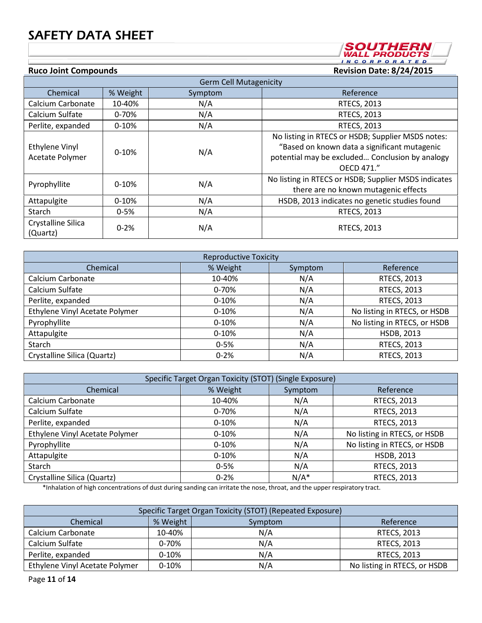

| <b>Germ Cell Mutagenicity</b>     |           |         |                                                                                                                                                                    |  |  |
|-----------------------------------|-----------|---------|--------------------------------------------------------------------------------------------------------------------------------------------------------------------|--|--|
| Chemical                          | % Weight  | Symptom | Reference                                                                                                                                                          |  |  |
| Calcium Carbonate                 | 10-40%    | N/A     | <b>RTECS, 2013</b>                                                                                                                                                 |  |  |
| Calcium Sulfate                   | $0 - 70%$ | N/A     | <b>RTECS, 2013</b>                                                                                                                                                 |  |  |
| Perlite, expanded                 | $0 - 10%$ | N/A     | <b>RTECS, 2013</b>                                                                                                                                                 |  |  |
| Ethylene Vinyl<br>Acetate Polymer | $0 - 10%$ | N/A     | No listing in RTECS or HSDB; Supplier MSDS notes:<br>"Based on known data a significant mutagenic<br>potential may be excluded Conclusion by analogy<br>OFCD 471." |  |  |
| Pyrophyllite                      | $0-10%$   | N/A     | No listing in RTECS or HSDB; Supplier MSDS indicates<br>there are no known mutagenic effects                                                                       |  |  |
| Attapulgite                       | $0 - 10%$ | N/A     | HSDB, 2013 indicates no genetic studies found                                                                                                                      |  |  |
| Starch                            | $0 - 5%$  | N/A     | <b>RTECS, 2013</b>                                                                                                                                                 |  |  |
| Crystalline Silica<br>(Quartz)    | $0 - 2%$  | N/A     | RTECS, 2013                                                                                                                                                        |  |  |

| <b>Reproductive Toxicity</b>   |           |         |                              |  |
|--------------------------------|-----------|---------|------------------------------|--|
| Chemical                       | % Weight  | Symptom | Reference                    |  |
| Calcium Carbonate              | 10-40%    | N/A     | <b>RTECS, 2013</b>           |  |
| Calcium Sulfate                | $0 - 70%$ | N/A     | <b>RTECS, 2013</b>           |  |
| Perlite, expanded              | $0-10%$   | N/A     | <b>RTECS, 2013</b>           |  |
| Ethylene Vinyl Acetate Polymer | $0-10%$   | N/A     | No listing in RTECS, or HSDB |  |
| Pyrophyllite                   | $0-10%$   | N/A     | No listing in RTECS, or HSDB |  |
| Attapulgite                    | $0-10%$   | N/A     | HSDB, 2013                   |  |
| Starch                         | $0 - 5%$  | N/A     | <b>RTECS, 2013</b>           |  |
| Crystalline Silica (Quartz)    | $0 - 2%$  | N/A     | RTECS, 2013                  |  |

| Specific Target Organ Toxicity (STOT) (Single Exposure) |           |         |                              |  |
|---------------------------------------------------------|-----------|---------|------------------------------|--|
| Chemical                                                | % Weight  | Symptom | Reference                    |  |
| Calcium Carbonate                                       | 10-40%    | N/A     | RTECS, 2013                  |  |
| Calcium Sulfate                                         | $0 - 70%$ | N/A     | RTECS, 2013                  |  |
| Perlite, expanded                                       | $0-10%$   | N/A     | <b>RTECS, 2013</b>           |  |
| Ethylene Vinyl Acetate Polymer                          | $0-10%$   | N/A     | No listing in RTECS, or HSDB |  |
| Pyrophyllite                                            | $0-10%$   | N/A     | No listing in RTECS, or HSDB |  |
| Attapulgite                                             | $0 - 10%$ | N/A     | <b>HSDB, 2013</b>            |  |
| Starch                                                  | $0 - 5%$  | N/A     | RTECS, 2013                  |  |
| Crystalline Silica (Quartz)                             | $0 - 2%$  | $N/A^*$ | <b>RTECS, 2013</b>           |  |

\*Inhalation of high concentrations of dust during sanding can irritate the nose, throat, and the upper respiratory tract.

| Specific Target Organ Toxicity (STOT) (Repeated Exposure) |           |     |                              |  |  |
|-----------------------------------------------------------|-----------|-----|------------------------------|--|--|
| % Weight<br>Chemical<br>Reference<br>Symptom              |           |     |                              |  |  |
| Calcium Carbonate                                         | 10-40%    | N/A | RTECS, 2013                  |  |  |
| Calcium Sulfate                                           | $0 - 70%$ | N/A | RTECS, 2013                  |  |  |
| Perlite, expanded                                         | $0 - 10%$ | N/A | RTECS, 2013                  |  |  |
| Ethylene Vinyl Acetate Polymer                            | $0 - 10%$ | N/A | No listing in RTECS, or HSDB |  |  |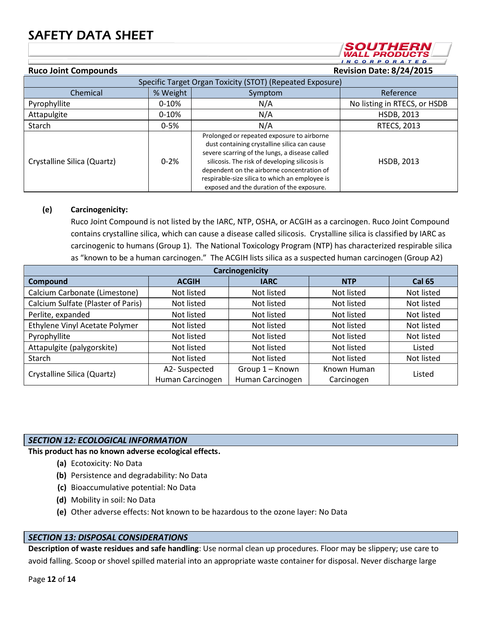**INCORPORATED Ruco Joint Compounds Revision Date: 1/26/18**

SOUTHERN *WALL PRODUCTS* 

| Specific Target Organ Toxicity (STOT) (Repeated Exposure) |          |                                                                                                                                                                                                                                                                                                                                             |                              |  |
|-----------------------------------------------------------|----------|---------------------------------------------------------------------------------------------------------------------------------------------------------------------------------------------------------------------------------------------------------------------------------------------------------------------------------------------|------------------------------|--|
| Chemical                                                  | % Weight | Symptom                                                                                                                                                                                                                                                                                                                                     | Reference                    |  |
| Pyrophyllite                                              | $0-10%$  | N/A                                                                                                                                                                                                                                                                                                                                         | No listing in RTECS, or HSDB |  |
| Attapulgite                                               | $0-10%$  | N/A                                                                                                                                                                                                                                                                                                                                         | HSDB, 2013                   |  |
| Starch                                                    | $0 - 5%$ | N/A                                                                                                                                                                                                                                                                                                                                         | RTECS, 2013                  |  |
| Crystalline Silica (Quartz)                               | $0 - 2%$ | Prolonged or repeated exposure to airborne<br>dust containing crystalline silica can cause<br>severe scarring of the lungs, a disease called<br>silicosis. The risk of developing silicosis is<br>dependent on the airborne concentration of<br>respirable-size silica to which an employee is<br>exposed and the duration of the exposure. | <b>HSDB, 2013</b>            |  |

## **(e) Carcinogenicity:**

Ruco Joint Compound is not listed by the IARC, NTP, OSHA, or ACGIH as a carcinogen. Ruco Joint Compound contains crystalline silica, which can cause a disease called silicosis. Crystalline silica is classified by IARC as carcinogenic to humans (Group 1). The National Toxicology Program (NTP) has characterized respirable silica as "known to be a human carcinogen." The ACGIH lists silica as a suspected human carcinogen (Group A2)

| Carcinogenicity                    |                  |                          |             |               |  |  |  |
|------------------------------------|------------------|--------------------------|-------------|---------------|--|--|--|
| Compound                           | <b>ACGIH</b>     | <b>IARC</b>              | <b>NTP</b>  | <b>Cal 65</b> |  |  |  |
| Calcium Carbonate (Limestone)      | Not listed       | Not listed               | Not listed  | Not listed    |  |  |  |
| Calcium Sulfate (Plaster of Paris) | Not listed       | Not listed<br>Not listed |             | Not listed    |  |  |  |
| Perlite, expanded                  | Not listed       | Not listed               | Not listed  | Not listed    |  |  |  |
| Ethylene Vinyl Acetate Polymer     | Not listed       | Not listed               | Not listed  | Not listed    |  |  |  |
| Pyrophyllite                       | Not listed       | Not listed               | Not listed  | Not listed    |  |  |  |
| Attapulgite (palygorskite)         | Not listed       | Not listed               | Not listed  | Listed        |  |  |  |
| Starch                             | Not listed       | Not listed               | Not listed  | Not listed    |  |  |  |
| Crystalline Silica (Quartz)        | A2-Suspected     | Group 1 - Known          | Known Human |               |  |  |  |
|                                    | Human Carcinogen | Human Carcinogen         | Carcinogen  | Listed        |  |  |  |

### *SECTION 12: ECOLOGICAL INFORMATION*

**This product has no known adverse ecological effects.**

- **(a)** Ecotoxicity: No Data
- **(b)** Persistence and degradability: No Data
- **(c)** Bioaccumulative potential: No Data
- **(d)** Mobility in soil: No Data
- **(e)** Other adverse effects: Not known to be hazardous to the ozone layer: No Data

### *SECTION 13: DISPOSAL CONSIDERATIONS*

**Description of waste residues and safe handling**: Use normal clean up procedures. Floor may be slippery; use care to avoid falling. Scoop or shovel spilled material into an appropriate waste container for disposal. Never discharge large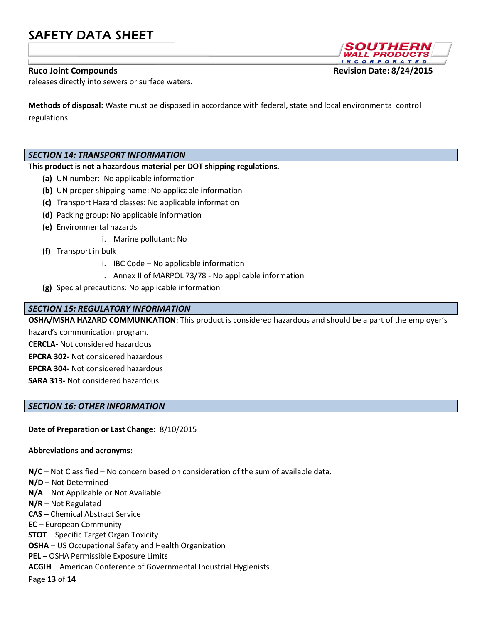releases directly into sewers or surface waters.

**Methods of disposal:** Waste must be disposed in accordance with federal, state and local environmental control regulations.

## *SECTION 14: TRANSPORT INFORMATION*

## **This product is not a hazardous material per DOT shipping regulations.**

- **(a)** UN number: No applicable information
- **(b)** UN proper shipping name: No applicable information
- **(c)** Transport Hazard classes: No applicable information
- **(d)** Packing group: No applicable information
- **(e)** Environmental hazards
	- i. Marine pollutant: No
- **(f)** Transport in bulk
	- i. IBC Code No applicable information
	- ii. Annex II of MARPOL 73/78 No applicable information
- **(g)** Special precautions: No applicable information

## *SECTION 15: REGULATORY INFORMATION*

**OSHA/MSHA HAZARD COMMUNICATION**: This product is considered hazardous and should be a part of the employer's

hazard's communication program.

**CERCLA-** Not considered hazardous

**EPCRA 302-** Not considered hazardous

**EPCRA 304-** Not considered hazardous

**SARA 313-** Not considered hazardous

### *SECTION 16: OTHER INFORMATION*

**Date of Preparation or Last Change:** 1/26/2018

### **Abbreviations and acronyms:**

**N/C** – Not Classified – No concern based on consideration of the sum of available data.

- **N/D** Not Determined
- **N/A**  Not Applicable or Not Available
- **N/R**  Not Regulated
- **CAS**  Chemical Abstract Service
- **EC** European Community

**STOT** – Specific Target Organ Toxicity

**OSHA** – US Occupational Safety and Health Organization

**PEL** – OSHA Permissible Exposure Limits

**ACGIH** – American Conference of Governmental Industrial Hygienists

Page **13** of **14**